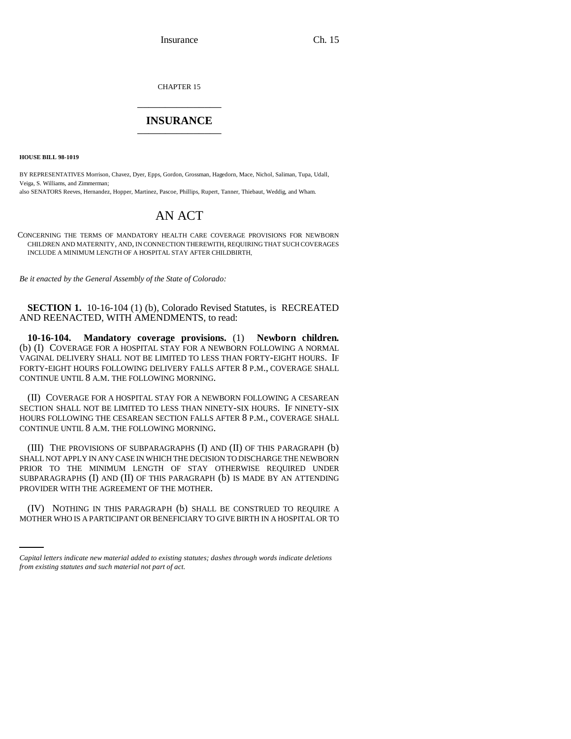Insurance Ch. 15

CHAPTER 15 \_\_\_\_\_\_\_\_\_\_\_\_\_\_\_

## **INSURANCE** \_\_\_\_\_\_\_\_\_\_\_\_\_\_\_

**HOUSE BILL 98-1019**

BY REPRESENTATIVES Morrison, Chavez, Dyer, Epps, Gordon, Grossman, Hagedorn, Mace, Nichol, Saliman, Tupa, Udall, Veiga, S. Williams, and Zimmerman;

also SENATORS Reeves, Hernandez, Hopper, Martinez, Pascoe, Phillips, Rupert, Tanner, Thiebaut, Weddig, and Wham.

## AN ACT

CONCERNING THE TERMS OF MANDATORY HEALTH CARE COVERAGE PROVISIONS FOR NEWBORN CHILDREN AND MATERNITY, AND, IN CONNECTION THEREWITH, REQUIRING THAT SUCH COVERAGES INCLUDE A MINIMUM LENGTH OF A HOSPITAL STAY AFTER CHILDBIRTH.

*Be it enacted by the General Assembly of the State of Colorado:*

**SECTION 1.** 10-16-104 (1) (b), Colorado Revised Statutes, is RECREATED AND REENACTED, WITH AMENDMENTS, to read:

**10-16-104. Mandatory coverage provisions.** (1) **Newborn children.** (b) (I) COVERAGE FOR A HOSPITAL STAY FOR A NEWBORN FOLLOWING A NORMAL VAGINAL DELIVERY SHALL NOT BE LIMITED TO LESS THAN FORTY-EIGHT HOURS. IF FORTY-EIGHT HOURS FOLLOWING DELIVERY FALLS AFTER 8 P.M., COVERAGE SHALL CONTINUE UNTIL 8 A.M. THE FOLLOWING MORNING.

(II) COVERAGE FOR A HOSPITAL STAY FOR A NEWBORN FOLLOWING A CESAREAN SECTION SHALL NOT BE LIMITED TO LESS THAN NINETY-SIX HOURS. IF NINETY-SIX HOURS FOLLOWING THE CESAREAN SECTION FALLS AFTER 8 P.M., COVERAGE SHALL CONTINUE UNTIL 8 A.M. THE FOLLOWING MORNING.

(III) THE PROVISIONS OF SUBPARAGRAPHS (I) AND (II) OF THIS PARAGRAPH (b) SHALL NOT APPLY IN ANY CASE IN WHICH THE DECISION TO DISCHARGE THE NEWBORN PRIOR TO THE MINIMUM LENGTH OF STAY OTHERWISE REQUIRED UNDER SUBPARAGRAPHS (I) AND (II) OF THIS PARAGRAPH (b) IS MADE BY AN ATTENDING PROVIDER WITH THE AGREEMENT OF THE MOTHER.

 (IV) NOTHING IN THIS PARAGRAPH (b) SHALL BE CONSTRUED TO REQUIRE A MOTHER WHO IS A PARTICIPANT OR BENEFICIARY TO GIVE BIRTH IN A HOSPITAL OR TO

*Capital letters indicate new material added to existing statutes; dashes through words indicate deletions from existing statutes and such material not part of act.*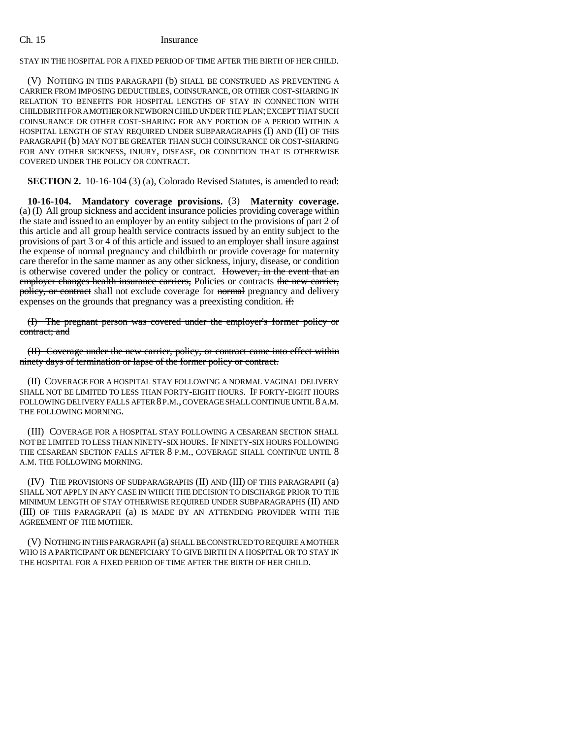## Ch. 15 Insurance

STAY IN THE HOSPITAL FOR A FIXED PERIOD OF TIME AFTER THE BIRTH OF HER CHILD.

(V) NOTHING IN THIS PARAGRAPH (b) SHALL BE CONSTRUED AS PREVENTING A CARRIER FROM IMPOSING DEDUCTIBLES, COINSURANCE, OR OTHER COST-SHARING IN RELATION TO BENEFITS FOR HOSPITAL LENGTHS OF STAY IN CONNECTION WITH CHILDBIRTH FOR A MOTHER OR NEWBORN CHILD UNDER THE PLAN; EXCEPT THAT SUCH COINSURANCE OR OTHER COST-SHARING FOR ANY PORTION OF A PERIOD WITHIN A HOSPITAL LENGTH OF STAY REQUIRED UNDER SUBPARAGRAPHS (I) AND (II) OF THIS PARAGRAPH (b) MAY NOT BE GREATER THAN SUCH COINSURANCE OR COST-SHARING FOR ANY OTHER SICKNESS, INJURY, DISEASE, OR CONDITION THAT IS OTHERWISE COVERED UNDER THE POLICY OR CONTRACT.

**SECTION 2.** 10-16-104 (3) (a), Colorado Revised Statutes, is amended to read:

**10-16-104. Mandatory coverage provisions.** (3) **Maternity coverage.** (a) (I) All group sickness and accident insurance policies providing coverage within the state and issued to an employer by an entity subject to the provisions of part 2 of this article and all group health service contracts issued by an entity subject to the provisions of part 3 or 4 of this article and issued to an employer shall insure against the expense of normal pregnancy and childbirth or provide coverage for maternity care therefor in the same manner as any other sickness, injury, disease, or condition is otherwise covered under the policy or contract. However, in the event that an employer changes health insurance carriers, Policies or contracts the new carrier, policy, or contract shall not exclude coverage for normal pregnancy and delivery expenses on the grounds that pregnancy was a preexisting condition. if:

(I) The pregnant person was covered under the employer's former policy or contract; and

(II) Coverage under the new carrier, policy, or contract came into effect within ninety days of termination or lapse of the former policy or contract.

(II) COVERAGE FOR A HOSPITAL STAY FOLLOWING A NORMAL VAGINAL DELIVERY SHALL NOT BE LIMITED TO LESS THAN FORTY-EIGHT HOURS. IF FORTY-EIGHT HOURS FOLLOWING DELIVERY FALLS AFTER 8 P.M., COVERAGE SHALL CONTINUE UNTIL 8 A.M. THE FOLLOWING MORNING.

(III) COVERAGE FOR A HOSPITAL STAY FOLLOWING A CESAREAN SECTION SHALL NOT BE LIMITED TO LESS THAN NINETY-SIX HOURS. IF NINETY-SIX HOURS FOLLOWING THE CESAREAN SECTION FALLS AFTER 8 P.M., COVERAGE SHALL CONTINUE UNTIL 8 A.M. THE FOLLOWING MORNING.

(IV) THE PROVISIONS OF SUBPARAGRAPHS (II) AND (III) OF THIS PARAGRAPH (a) SHALL NOT APPLY IN ANY CASE IN WHICH THE DECISION TO DISCHARGE PRIOR TO THE MINIMUM LENGTH OF STAY OTHERWISE REQUIRED UNDER SUBPARAGRAPHS (II) AND (III) OF THIS PARAGRAPH (a) IS MADE BY AN ATTENDING PROVIDER WITH THE AGREEMENT OF THE MOTHER.

(V) NOTHING IN THIS PARAGRAPH (a) SHALL BE CONSTRUED TO REQUIRE A MOTHER WHO IS A PARTICIPANT OR BENEFICIARY TO GIVE BIRTH IN A HOSPITAL OR TO STAY IN THE HOSPITAL FOR A FIXED PERIOD OF TIME AFTER THE BIRTH OF HER CHILD.